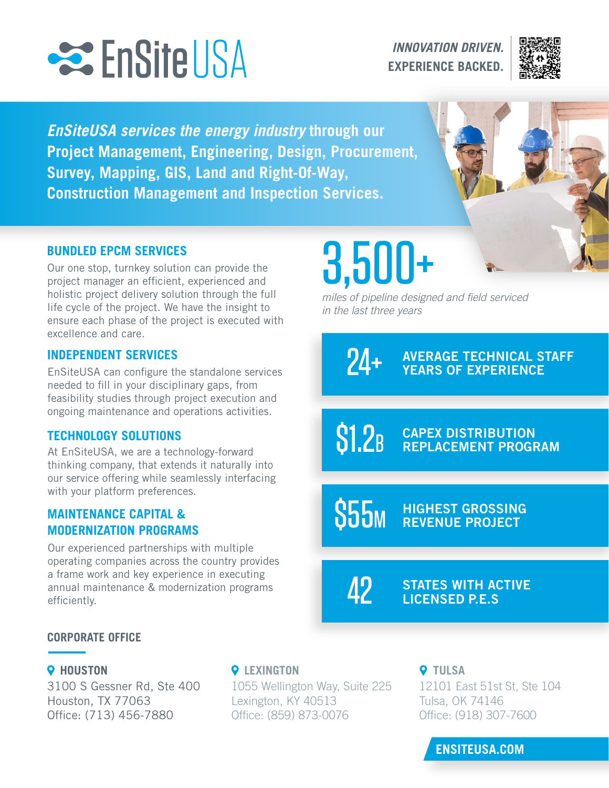

*INNOVATION DRIVEN.* **EXPERIENCE BACKED.**



*EnSiteUSA services the energy industry* **through our Project Management, Engineering, Design, Procurement, Survey, Mapping, GIS, Land and Right-Of-Way, Construction Management and Inspection Services.** 



### **BUNDLED EPCM SERVICES**

Our one stop, turnkey solution can provide the project manager an efficient, experienced and holistic project delivery solution through the full life cycle of the project. We have the insight to ensure each phase of the project is executed with excellence and care.

### **INDEPENDENT SERVICES**

EnSiteUSA can configure the standalone services needed to fill in your disciplinary gaps, from feasibility studies through project execution and ongoing maintenance and operations activities.

### **TECHNOLOGY SOLUTIONS**

At EnSiteUSA, we are a technology-forward thinking company, that extends it naturally into our service offering while seamlessly interfacing with your platform preferences.

### **MAINTENANCE CAPITAL & MODERNIZATION PROGRAMS**

Our experienced partnerships with multiple operating companies across the country provides a frame work and key experience in executing annual maintenance & modernization programs efficiently.

# 3,500+

miles of pipeline designed and field serviced *in the last three years*

> AVERAGE TECHNICAL STAFF YEARS OF EXPERIENCE 24+

CAPEX DISTRIBUTION REPLACEMENT PROGRAM  $$1.2<sub>B</sub>$ 

SED HIGHEST GROSSING

42

STATES WITH ACTIVE LICENSED P.E.S

### **CORPORATE OFFICE**

3100 S Gessner Rd, Ste 400 Houston, TX 77063 Office: (713) 456-7880

### **O** HOUSTON **O** LEXINGTON **O** TULSA

1055 Wellington Way, Suite 225 Lexington, KY 40513 Office: (859) 873-0076

12101 East 51st St, Ste 104 Tulsa, OK 74146 Office: (918) 307-7600

### **ENSITEUSA.COM**